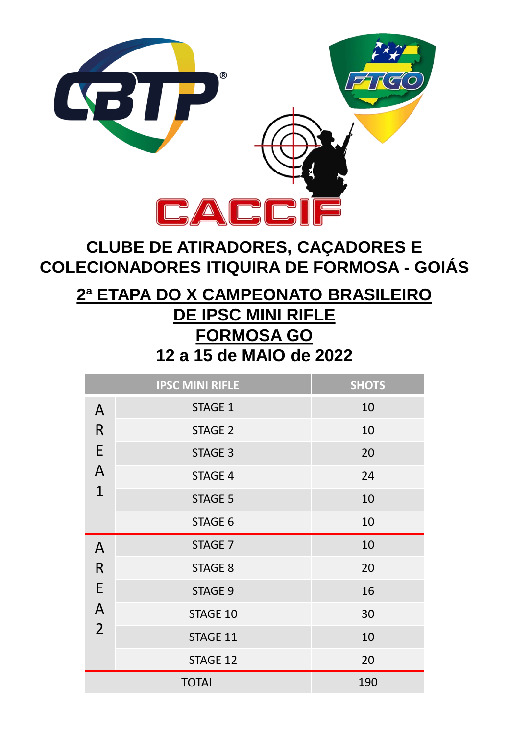

# **CLUBE DE ATIRADORES, CAÇADORES E COLECIONADORES ITIQUIRA DE FORMOSA - GOIÁS**

# **2ª ETAPA DO X CAMPEONATO BRASILEIRO DE IPSC MINI RIFLE FORMOSA GO 12 a 15 de MAIO de 2022**

|                                                          | <b>IPSC MINI RIFLE</b> | <b>SHOTS</b> |  |  |  |  |
|----------------------------------------------------------|------------------------|--------------|--|--|--|--|
| A<br>$\mathsf{R}$<br>E<br>A<br>$\mathbf{1}$              | <b>STAGE 1</b>         | 10           |  |  |  |  |
|                                                          | <b>STAGE 2</b>         | 10           |  |  |  |  |
|                                                          | <b>STAGE 3</b>         | 20           |  |  |  |  |
|                                                          | <b>STAGE 4</b>         | 24           |  |  |  |  |
|                                                          | <b>STAGE 5</b>         | 10           |  |  |  |  |
|                                                          | STAGE 6                | 10           |  |  |  |  |
| $\mathsf{A}$<br>$\mathsf{R}$<br>E<br>A<br>$\overline{2}$ | STAGE 7                | 10           |  |  |  |  |
|                                                          | STAGE 8                | 20           |  |  |  |  |
|                                                          | STAGE 9                | 16           |  |  |  |  |
|                                                          | STAGE 10               | 30           |  |  |  |  |
|                                                          | STAGE 11               | 10           |  |  |  |  |
|                                                          | STAGE 12               | 20           |  |  |  |  |
|                                                          | <b>TOTAL</b>           | 190          |  |  |  |  |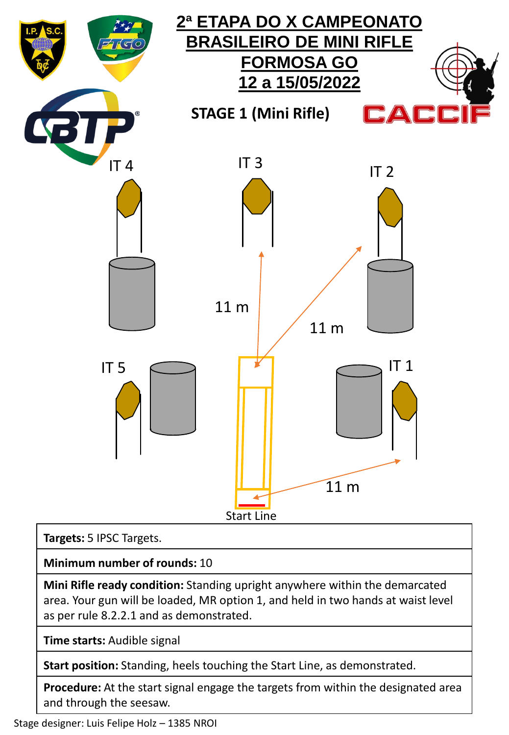

## **Targets:** 5 IPSC Targets.

**Minimum number of rounds:** 10

**Mini Rifle ready condition:** Standing upright anywhere within the demarcated area. Your gun will be loaded, MR option 1, and held in two hands at waist level as per rule 8.2.2.1 and as demonstrated.

**Time starts:** Audible signal

**Start position:** Standing, heels touching the Start Line, as demonstrated.

**Procedure:** At the start signal engage the targets from within the designated area and through the seesaw.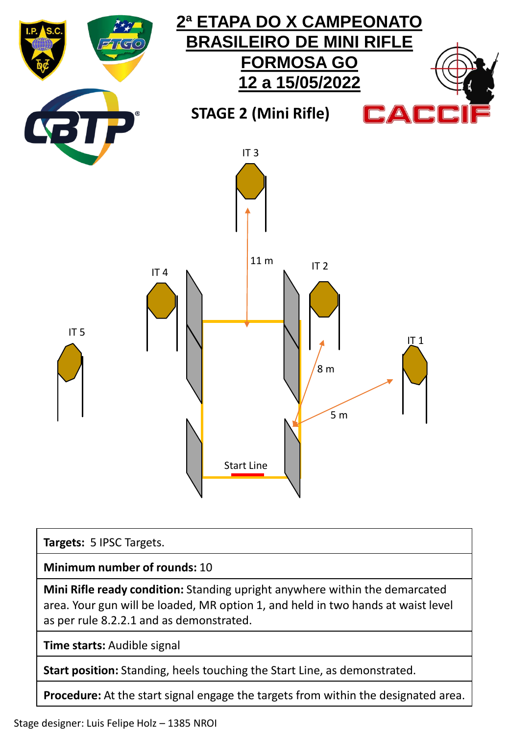

### **Targets:** 5 IPSC Targets.

### **Minimum number of rounds:** 10

**Mini Rifle ready condition:** Standing upright anywhere within the demarcated area. Your gun will be loaded, MR option 1, and held in two hands at waist level as per rule 8.2.2.1 and as demonstrated.

**Time starts:** Audible signal

**Start position:** Standing, heels touching the Start Line, as demonstrated.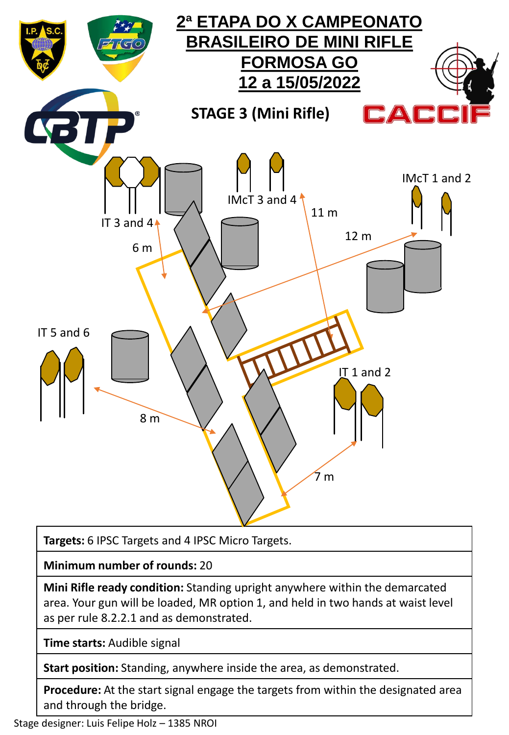

**Targets:** 6 IPSC Targets and 4 IPSC Micro Targets.

## **Minimum number of rounds:** 20

**Mini Rifle ready condition:** Standing upright anywhere within the demarcated area. Your gun will be loaded, MR option 1, and held in two hands at waist level as per rule 8.2.2.1 and as demonstrated.

**Time starts:** Audible signal

**Start position:** Standing, anywhere inside the area, as demonstrated.

**Procedure:** At the start signal engage the targets from within the designated area and through the bridge.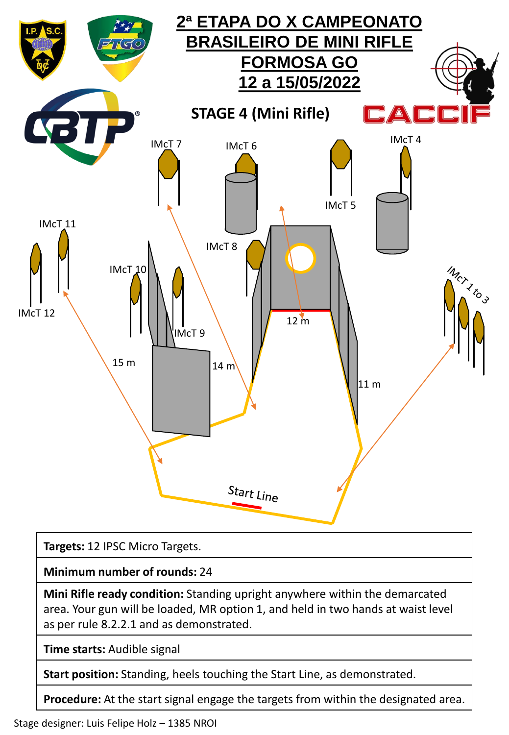

**Targets:** 12 IPSC Micro Targets.

**Minimum number of rounds:** 24

**Mini Rifle ready condition:** Standing upright anywhere within the demarcated area. Your gun will be loaded, MR option 1, and held in two hands at waist level as per rule 8.2.2.1 and as demonstrated.

**Time starts:** Audible signal

**Start position:** Standing, heels touching the Start Line, as demonstrated.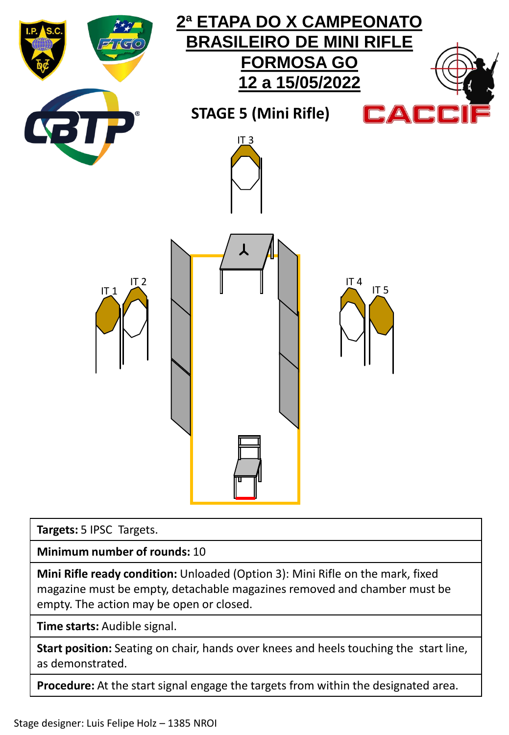

**Targets:** 5 IPSC Targets.

**Minimum number of rounds:** 10

**Mini Rifle ready condition:** Unloaded (Option 3): Mini Rifle on the mark, fixed magazine must be empty, detachable magazines removed and chamber must be empty. The action may be open or closed.

**Time starts:** Audible signal.

**Start position:** Seating on chair, hands over knees and heels touching the start line, as demonstrated.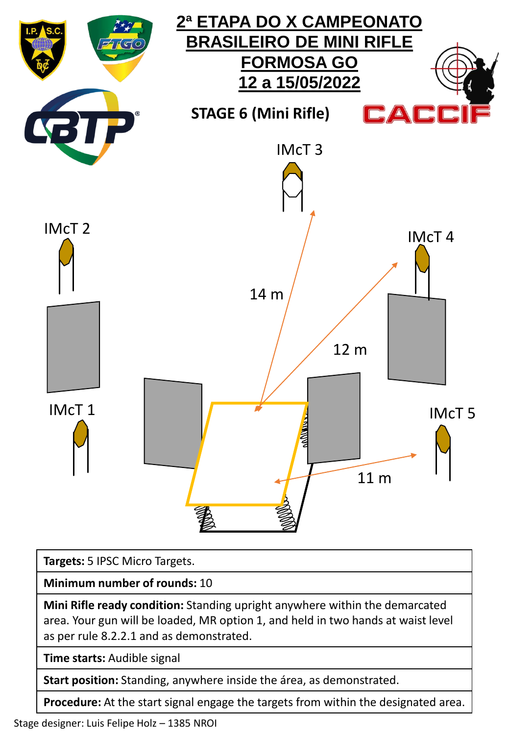

**Targets:** 5 IPSC Micro Targets.

**Minimum number of rounds:** 10

**Mini Rifle ready condition:** Standing upright anywhere within the demarcated area. Your gun will be loaded, MR option 1, and held in two hands at waist level as per rule 8.2.2.1 and as demonstrated.

**Time starts:** Audible signal

**Start position:** Standing, anywhere inside the área, as demonstrated.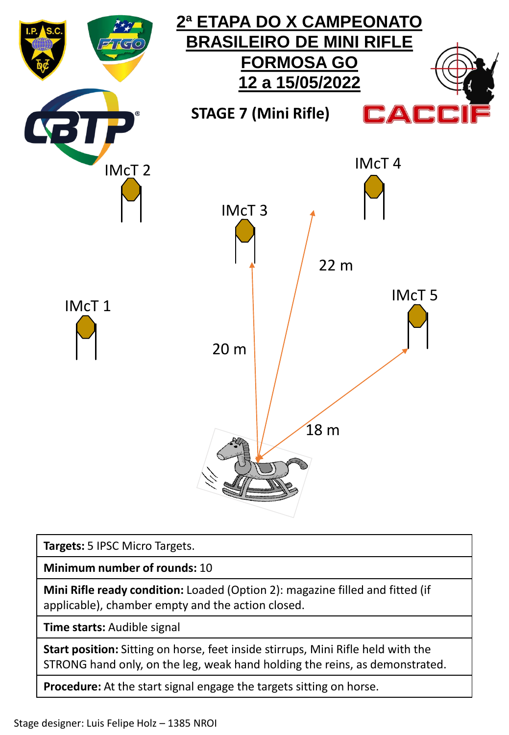

**Targets:** 5 IPSC Micro Targets.

**Minimum number of rounds:** 10

**Mini Rifle ready condition:** Loaded (Option 2): magazine filled and fitted (if applicable), chamber empty and the action closed.

**Time starts:** Audible signal

**Start position:** Sitting on horse, feet inside stirrups, Mini Rifle held with the STRONG hand only, on the leg, weak hand holding the reins, as demonstrated.

**Procedure:** At the start signal engage the targets sitting on horse.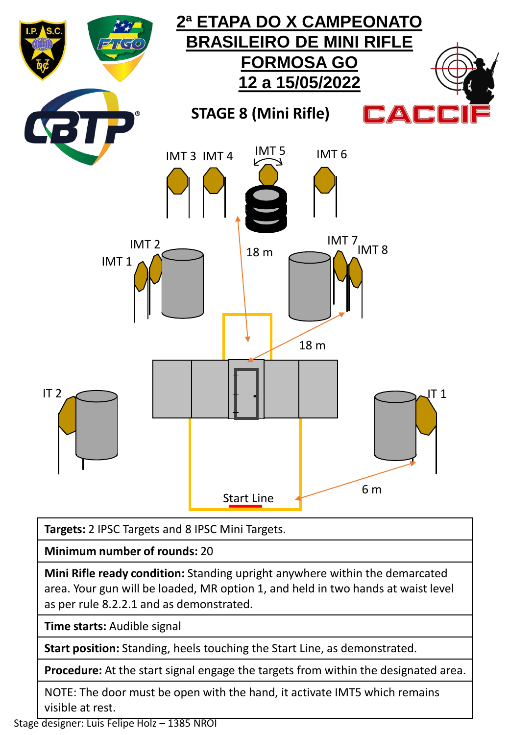

**Targets:** 2 IPSC Targets and 8 IPSC Mini Targets.

**Minimum number of rounds:** 20

**Mini Rifle ready condition:** Standing upright anywhere within the demarcated area. Your gun will be loaded, MR option 1, and held in two hands at waist level as per rule 8.2.2.1 and as demonstrated.

**Time starts:** Audible signal

**Start position:** Standing, heels touching the Start Line, as demonstrated.

**Procedure:** At the start signal engage the targets from within the designated area.

NOTE: The door must be open with the hand, it activate IMT5 which remains visible at rest.

Stage designer: Luis Felipe Holz – 1385 NROI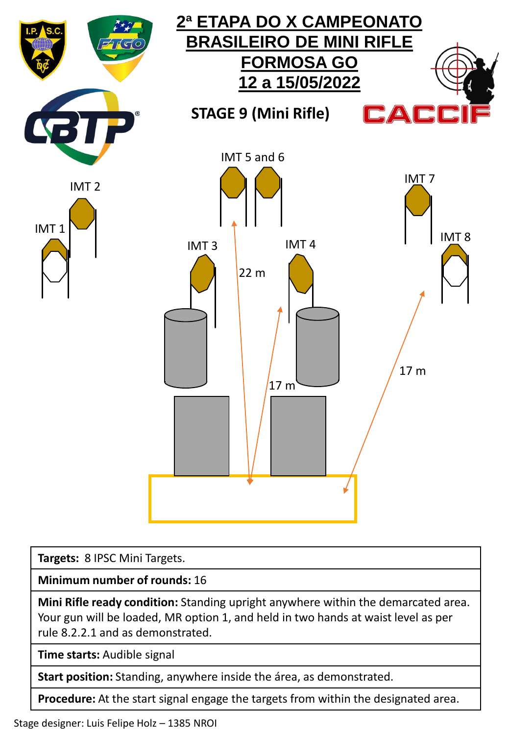

**Targets:** 8 IPSC Mini Targets.

**Minimum number of rounds:** 16

**Mini Rifle ready condition:** Standing upright anywhere within the demarcated area. Your gun will be loaded, MR option 1, and held in two hands at waist level as per rule 8.2.2.1 and as demonstrated.

**Time starts:** Audible signal

**Start position:** Standing, anywhere inside the área, as demonstrated.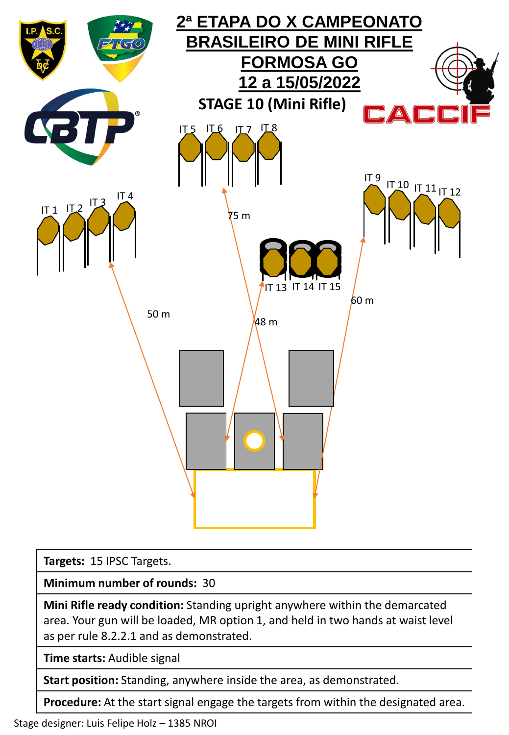

#### **Targets:** 15 IPSC Targets.

**Minimum number of rounds:** 30

**Mini Rifle ready condition:** Standing upright anywhere within the demarcated area. Your gun will be loaded, MR option 1, and held in two hands at waist level as per rule 8.2.2.1 and as demonstrated.

**Time starts:** Audible signal

**Start position:** Standing, anywhere inside the area, as demonstrated.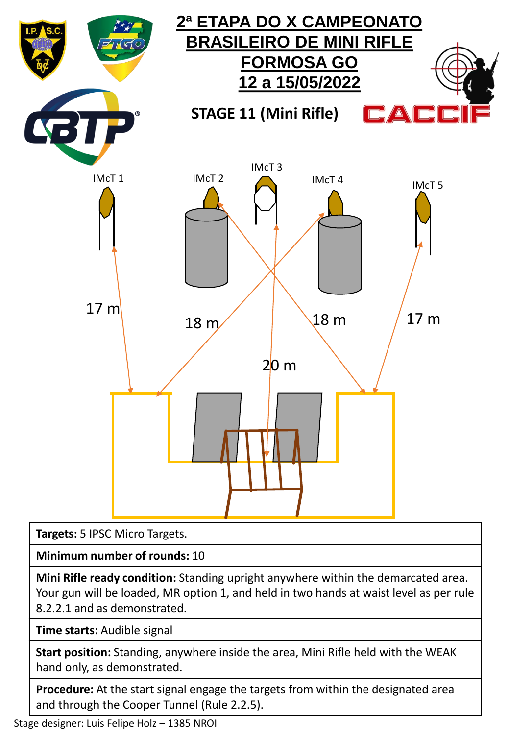

**Targets:** 5 IPSC Micro Targets.

**Minimum number of rounds:** 10

**Mini Rifle ready condition:** Standing upright anywhere within the demarcated area. Your gun will be loaded, MR option 1, and held in two hands at waist level as per rule 8.2.2.1 and as demonstrated.

**Time starts:** Audible signal

**Start position:** Standing, anywhere inside the area, Mini Rifle held with the WEAK hand only, as demonstrated.

**Procedure:** At the start signal engage the targets from within the designated area and through the Cooper Tunnel (Rule 2.2.5).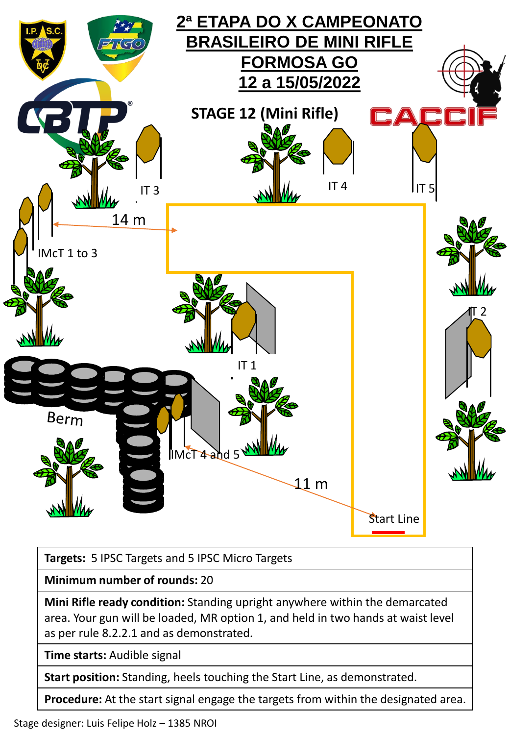

### **Targets:** 5 IPSC Targets and 5 IPSC Micro Targets

**Minimum number of rounds:** 20

**Mini Rifle ready condition:** Standing upright anywhere within the demarcated area. Your gun will be loaded, MR option 1, and held in two hands at waist level as per rule 8.2.2.1 and as demonstrated.

**Time starts:** Audible signal

**Start position:** Standing, heels touching the Start Line, as demonstrated.